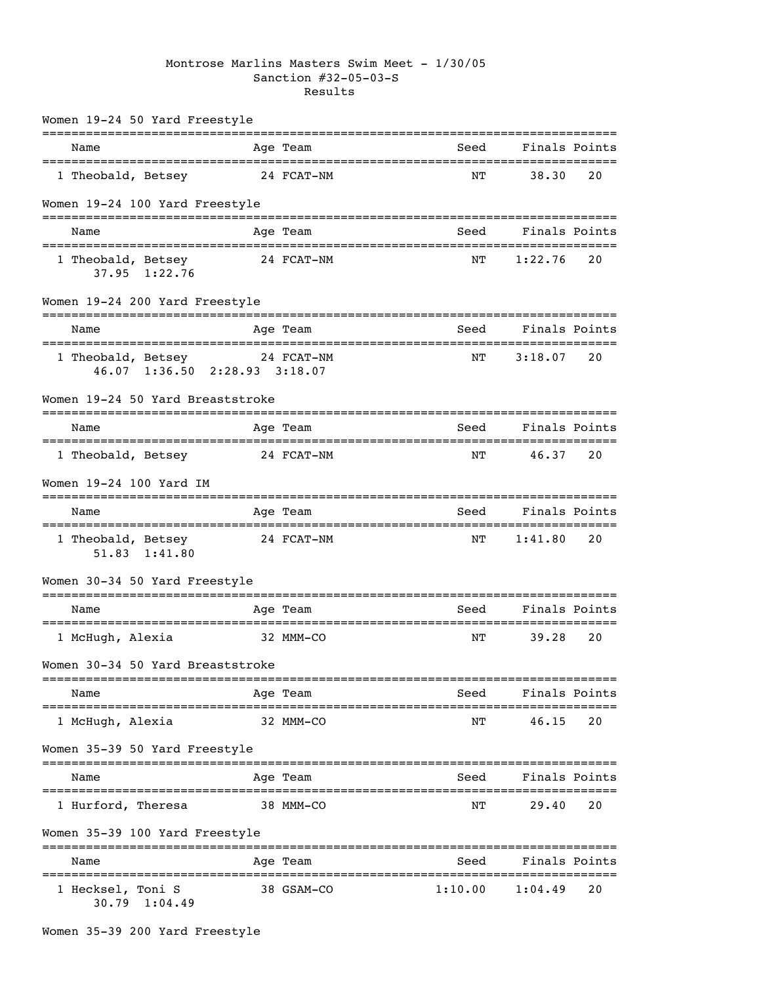## Montrose Marlins Masters Swim Meet - 1/30/05 Sanction #32-05-03-S Results

| Women 19-24 50 Yard Freestyle                                  |            |                                      |               |               |
|----------------------------------------------------------------|------------|--------------------------------------|---------------|---------------|
| Name                                                           | Age Team   | Seed                                 |               | Finals Points |
| 1 Theobald, Betsey                                             | 24 FCAT-NM | NΤ                                   | 38.30         | 20            |
| Women 19-24 100 Yard Freestyle                                 |            |                                      |               |               |
| Name                                                           | Age Team   | Seed                                 | Finals Points |               |
| 1 Theobald, Betsey<br>37.95 1:22.76                            | 24 FCAT-NM | NΤ                                   | 1:22.76       | 20            |
| Women 19-24 200 Yard Freestyle                                 |            |                                      |               |               |
| Name                                                           | Age Team   | Seed                                 |               | Finals Points |
| 1 Theobald, Betsey 24 FCAT-NM<br>46.07 1:36.50 2:28.93 3:18.07 |            | NΤ                                   | 3:18.07       | 20            |
| Women 19-24 50 Yard Breaststroke                               |            |                                      |               |               |
| Name                                                           | Age Team   | Seed                                 |               | Finals Points |
| 1 Theobald, Betsey                                             | 24 FCAT-NM | NΤ                                   | 46.37         | 20            |
| Women 19-24 100 Yard IM                                        |            |                                      |               |               |
| Name                                                           | Age Team   | Seed                                 | Finals Points |               |
| 1 Theobald, Betsey 24 FCAT-NM<br>51.83 1:41.80                 |            | NΤ                                   | 1:41.80       | 20            |
| Women 30-34 50 Yard Freestyle                                  |            |                                      |               |               |
| Name                                                           | Age Team   | Seed                                 | Finals Points |               |
| 1 McHugh, Alexia                                               | 32 MMM-CO  | NΤ                                   | 39.28         | 20            |
| Women 30-34 50 Yard Breaststroke                               |            |                                      |               |               |
| Name                                                           | Age Team   | Seed                                 |               | Finals Points |
| 1 McHugh, Alexia                                               | 32 MMM-CO  | ==============================<br>NΤ | 46.15         | 20            |
| Women 35-39 50 Yard Freestyle                                  | ========   |                                      |               |               |
| Name                                                           | Age Team   | Seed                                 |               | Finals Points |
| 1 Hurford, Theresa                                             | 38 MMM-CO  | NΤ                                   | 29.40         | 20            |
| Women 35-39 100 Yard Freestyle                                 |            |                                      |               |               |
| Name                                                           | Age Team   | Seed                                 |               | Finals Points |
| 1 Hecksel, Toni S<br>$30.79$ $1:04.49$                         | 38 GSAM-CO | 1:10.00                              | 1:04.49       | 20            |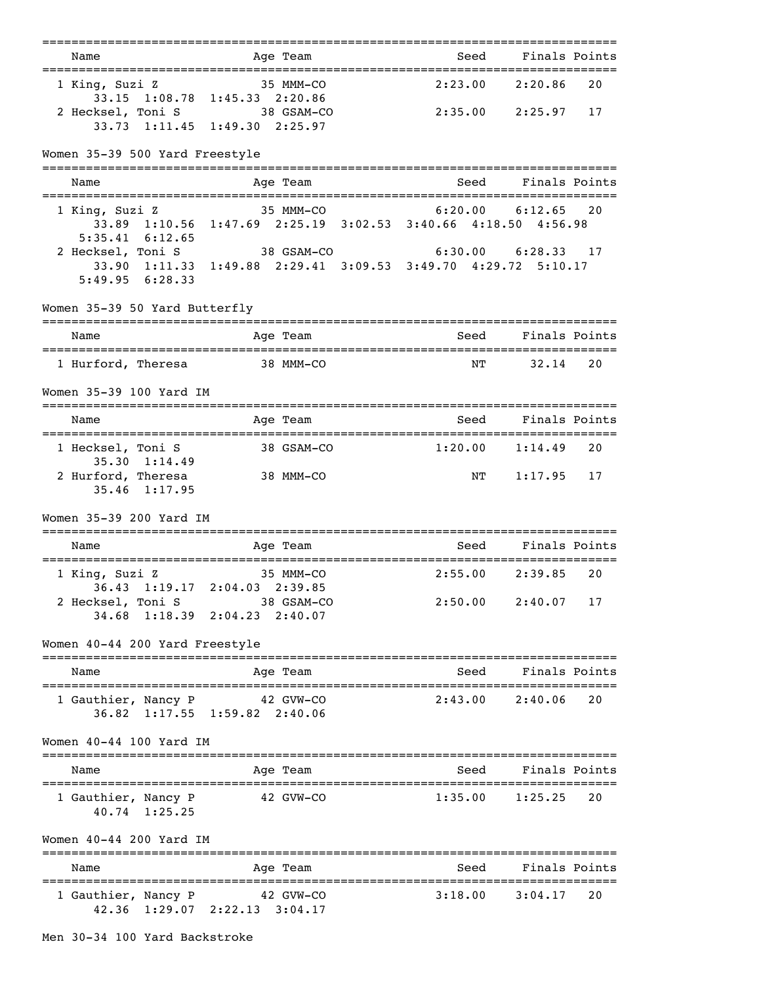|                                            | ===============                                                             | ;===============================     |                        |    |
|--------------------------------------------|-----------------------------------------------------------------------------|--------------------------------------|------------------------|----|
| Name<br>.================================= | Age Team                                                                    | Seed<br>======================       | Finals Points          |    |
| 1 King, Suzi Z                             | 35 MMM-CO<br>33.15 1:08.78 1:45.33 2:20.86                                  | 2:23.00                              | 2:20.86                | 20 |
| 2 Hecksel, Toni S 38 GSAM-CO               | 33.73 1:11.45 1:49.30 2:25.97                                               | 2:35.00                              | 2:25.97                | 17 |
| Women 35-39 500 Yard Freestyle             |                                                                             |                                      |                        |    |
| Name                                       | Age Team                                                                    | Seed                                 | Finals Points          |    |
| 1 King, Suzi Z<br>$5:35.41 \quad 6:12.65$  | 35 MMM-CO<br>33.89 1:10.56 1:47.69 2:25.19 3:02.53 3:40.66 4:18.50 4:56.98  | 6:20.00                              | 6:12.65                | 20 |
| 2 Hecksel, Toni S<br>$5:49.95$ $6:28.33$   | 38 GSAM-CO<br>33.90 1:11.33 1:49.88 2:29.41 3:09.53 3:49.70 4:29.72 5:10.17 |                                      | $6:30.00$ $6:28.33$ 17 |    |
| Women 35-39 50 Yard Butterfly              |                                                                             |                                      |                        |    |
| Name                                       | Age Team                                                                    | Seed                                 | Finals Points          |    |
| 1 Hurford, Theresa 38 MMM-CO               |                                                                             | NΤ                                   | 32.14                  | 20 |
| Women 35-39 100 Yard IM                    |                                                                             |                                      |                        |    |
| Name                                       | Age Team                                                                    | Seed                                 | Finals Points          |    |
| 1 Hecksel, Toni S<br>$35.30 \quad 1:14.49$ | 38 GSAM-CO                                                                  |                                      | $1:20.00$ $1:14.49$    | 20 |
| 2 Hurford, Theresa<br>$35.46$ 1:17.95      | 38 MMM-CO                                                                   | NΤ                                   | 1:17.95                | 17 |
| Women 35-39 200 Yard IM                    |                                                                             |                                      |                        |    |
| Name                                       | Age Team                                                                    | Seed<br>============================ | Finals Points          |    |
| 1 King, Suzi Z                             | $35$ MMM $-CO$<br>36.43 1:19.17 2:04.03 2:39.85                             | 2:55.00                              | 2:39.85                | 20 |
| 2 Hecksel, Toni S                          | 38 GSAM-CO<br>34.68 1:18.39 2:04.23 2:40.07                                 |                                      | $2:50.00$ $2:40.07$    | 17 |
| Women 40-44 200 Yard Freestyle             |                                                                             |                                      |                        |    |
| Name                                       | Age Team                                                                    | Seed                                 | Finals Points          |    |
| 1 Gauthier, Nancy P                        | 42 GVW-CO<br>36.82 1:17.55 1:59.82 2:40.06                                  | 2:43.00                              | 2:40.06                | 20 |
| Women 40-44 100 Yard IM                    |                                                                             |                                      |                        |    |
| Name                                       | Age Team                                                                    | Seed                                 | Finals Points          |    |
| 1 Gauthier, Nancy P<br>40.74 1:25.25       | 42 GVW-CO                                                                   | 1:35.00                              | 1:25.25                | 20 |
| Women 40-44 200 Yard IM                    |                                                                             |                                      |                        |    |
| Name                                       | Age Team                                                                    | Seed                                 | Finals Points          |    |
| 1 Gauthier, Nancy P                        | 42 GVW-CO<br>42.36 1:29.07 2:22.13 3:04.17                                  | 3:18.00                              | 3:04.17                | 20 |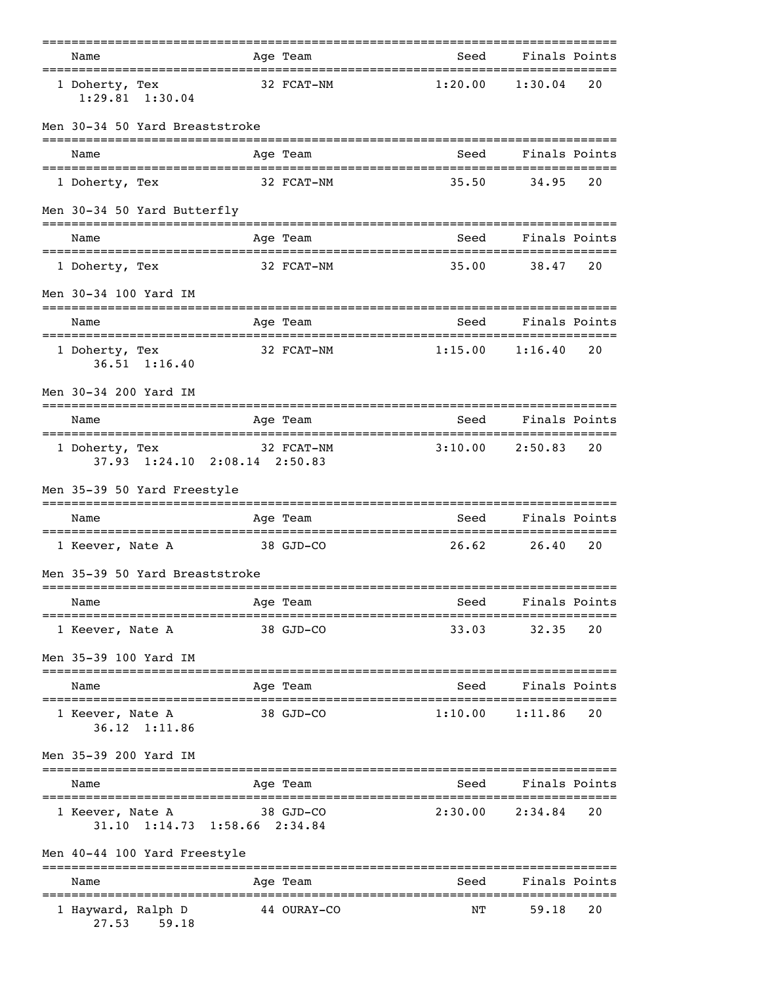|                                                           |            | ===============            |                                                     |                     |    |
|-----------------------------------------------------------|------------|----------------------------|-----------------------------------------------------|---------------------|----|
| Name<br>===================================               |            | Age Team                   | Seed                                                | Finals Points       |    |
| 1 Doherty, Tex<br>$1:29.81$ $1:30.04$                     | 32 FCAT-NM |                            | 1:20.00                                             | 1:30.04             | 20 |
| Men 30-34 50 Yard Breaststroke                            |            |                            |                                                     |                     |    |
| Name                                                      |            | Age Team                   | Seed                                                | Finals Points       |    |
| 1 Doherty, Tex                                            | 32 FCAT-NM |                            | 35.50                                               | 34.95               | 20 |
| Men 30-34 50 Yard Butterfly                               |            |                            |                                                     |                     |    |
| Name                                                      |            | Age Team                   | Seed                                                | Finals Points       |    |
| 1 Doherty, Tex                                            | 32 FCAT-NM |                            | 35.00                                               | 38.47               | 20 |
| Men 30-34 100 Yard IM                                     |            |                            |                                                     |                     |    |
| Name                                                      |            | Age Team                   | seed Seed<br>-------------------------------------- | Finals Points       |    |
| 1 Doherty, Tex<br>$36.51$ 1:16.40                         |            | 32 FCAT-NM                 | 1:15.00                                             | 1:16.40             | 20 |
| Men 30-34 200 Yard IM                                     |            |                            |                                                     |                     |    |
| Name                                                      |            | Age Team                   | Seed                                                | Finals Points       |    |
| 1 Doherty, Tex<br>37.93 1:24.10 2:08.14 2:50.83           | 32 FCAT-NM |                            |                                                     | $3:10.00$ $2:50.83$ | 20 |
| Men 35-39 50 Yard Freestyle                               |            |                            |                                                     |                     |    |
| Name                                                      |            | Age Team                   | Seed                                                | Finals Points       |    |
| 1 Keever, Nate A                                          | 38 GJD-CO  |                            | 26.62                                               | 26.40               | 20 |
| Men 35-39 50 Yard Breaststroke                            |            |                            |                                                     |                     |    |
| Name                                                      |            | Age Team                   | Seed                                                | Finals Points       |    |
| =====================================<br>1 Keever, Nate A |            | 38 GJD-CO                  | 33.03                                               | 32.35               | 20 |
| Men 35-39 100 Yard IM                                     |            |                            |                                                     |                     |    |
| Name                                                      |            | Age Team                   | Seed                                                | Finals Points       |    |
| 1 Keever, Nate A<br>36.12 1:11.86                         |            | 38 GJD-CO                  | 1:10.00                                             | 1:11.86             | 20 |
| Men 35-39 200 Yard IM                                     |            |                            |                                                     |                     |    |
| Name                                                      |            | Age Team                   | Seed                                                | Finals Points       |    |
| 1 Keever, Nate A<br>31.10 1:14.73 1:58.66 2:34.84         |            | 38 GJD-CO                  | 2:30.00                                             | 2:34.84             | 20 |
| Men 40-44 100 Yard Freestyle                              |            |                            |                                                     |                     |    |
| Name                                                      |            | ==============<br>Aqe Team | --------------<br>Seed                              | Finals Points       |    |
| 1 Hayward, Ralph D<br>27.53<br>59.18                      |            | 44 OURAY-CO                | -----------<br>NΤ                                   | 59.18               | 20 |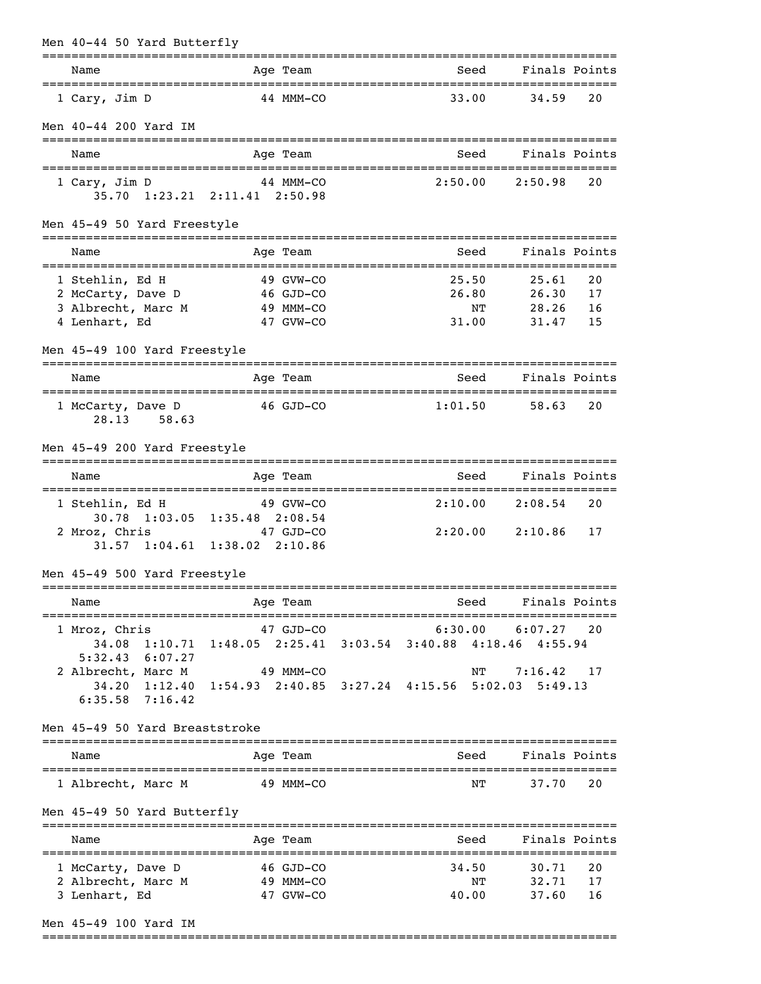| Men 40-44 50 Yard Butterfly                                |                                                                            |                                        |                         |                |
|------------------------------------------------------------|----------------------------------------------------------------------------|----------------------------------------|-------------------------|----------------|
| Name                                                       | Age Team                                                                   | Seed                                   | Finals Points           |                |
| 1 Cary, Jim D                                              | $44$ MMM-CO                                                                | 33.00                                  | 34.59                   | 20             |
| Men 40-44 200 Yard IM                                      |                                                                            |                                        |                         |                |
| Name                                                       | Age Team                                                                   | Seed                                   | Finals Points           |                |
| 1 Cary, Jim D                                              | 44 MMM-CO<br>35.70 1:23.21 2:11.41 2:50.98                                 | 2:50.00                                | 2:50.98                 | 20             |
| Men 45-49 50 Yard Freestyle                                |                                                                            |                                        |                         |                |
| Name                                                       | Age Team                                                                   | Seed                                   | Finals Points           |                |
| 1 Stehlin, Ed H<br>2 McCarty, Dave D<br>3 Albrecht, Marc M | 49 GVW-CO<br>46 GJD-CO<br>49 MMM-CO                                        | 25.50<br>26.80<br>ΝT                   | 25.61<br>26.30<br>28.26 | 20<br>17<br>16 |
| 4 Lenhart, Ed                                              | 47 GVW-CO                                                                  | 31.00                                  | 31.47                   | 15             |
| Men 45-49 100 Yard Freestyle                               |                                                                            |                                        |                         |                |
| Name                                                       | Age Team                                                                   | Seed                                   | Finals Points           |                |
| 1 McCarty, Dave D<br>28.13 58.63                           | 46 GJD-CO                                                                  | 1:01.50                                | 58.63                   | 20             |
| Men 45-49 200 Yard Freestyle                               |                                                                            |                                        |                         |                |
| Name                                                       | Age Team                                                                   | Seed                                   | Finals Points           |                |
| 1 Stehlin, Ed H                                            | 49 GVW-CO<br>30.78 1:03.05 1:35.48 2:08.54                                 |                                        | $2:10.00$ $2:08.54$     | 20             |
| 2 Mroz, Chris                                              | 47 GJD-CO<br>$31.57$ $1:04.61$ $1:38.02$ $2:10.86$                         |                                        | $2:20.00$ $2:10.86$     | 17             |
| Men 45-49 500 Yard Freestyle                               |                                                                            |                                        |                         |                |
| Name<br>=====================================              | Age Team                                                                   | Seed<br>-============================= | Finals Points           |                |
| 1 Mroz, Chris<br>$5:32.43$ $6:07.27$                       | 47 GJD-CO<br>34.08 1:10.71 1:48.05 2:25.41 3:03.54 3:40.88 4:18.46 4:55.94 |                                        | $6:30.00$ $6:07.27$ 20  |                |
| 2 Albrecht, Marc M 49 MMM-CO<br>$6:35.58$ $7:16.42$        | 34.20 1:12.40 1:54.93 2:40.85 3:27.24 4:15.56 5:02.03 5:49.13              | NΤ                                     | 7:16.42                 | 17             |
| Men 45-49 50 Yard Breaststroke                             |                                                                            |                                        |                         |                |
| Name                                                       | Age Team                                                                   | Seed                                   | Finals Points           |                |
| 1 Albrecht, Marc M                                         | 49 MMM-CO                                                                  | ΝT                                     | 37.70                   | 20             |
| Men 45-49 50 Yard Butterfly                                |                                                                            |                                        |                         |                |
| Name                                                       | Age Team                                                                   | Seed                                   | Finals Points           |                |
| 1 McCarty, Dave D<br>2 Albrecht, Marc M<br>3 Lenhart, Ed   | 46 GJD-CO<br>49 MMM-CO<br>47 GVW-CO                                        | 34.50<br>ΝT<br>40.00                   | 30.71<br>32.71<br>37.60 | 20<br>17<br>16 |
| Men 45-49 100 Yard IM                                      |                                                                            |                                        |                         |                |

===============================================================================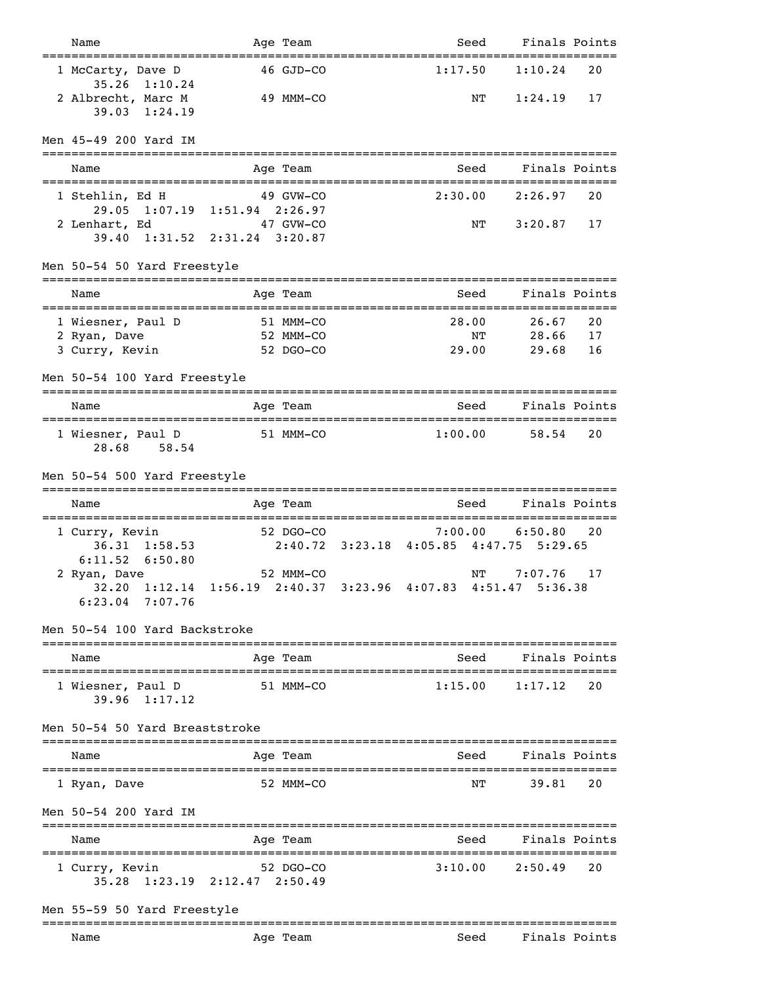| Name                                                            | Age Team                                                           | Seed                                               | Finals Points      |          |
|-----------------------------------------------------------------|--------------------------------------------------------------------|----------------------------------------------------|--------------------|----------|
| 1 McCarty, Dave D<br>35.26<br>1:10.24                           | 46 GJD-CO                                                          | 1:17.50                                            | 1:10.24            | 20       |
| 2 Albrecht, Marc M<br>$39.03 \quad 1:24.19$                     | 49 MMM-CO                                                          | NΤ                                                 | 1:24.19            | 17       |
| Men 45-49 200 Yard IM                                           |                                                                    |                                                    |                    |          |
| Name                                                            | Age Team                                                           | Seed                                               | Finals Points      |          |
| 1 Stehlin, Ed H<br>2 Lenhart, Ed                                | 49 GVW-CO<br>29.05 1:07.19 1:51.94 2:26.97<br>47 GVW-CO            | 2:30.00<br>ΝT                                      | 2:26.97<br>3:20.87 | 20<br>17 |
| 39.40                                                           | 1:31.52 2:31.24 3:20.87                                            |                                                    |                    |          |
| Men 50-54 50 Yard Freestyle                                     | ------------                                                       |                                                    |                    |          |
| Name                                                            | Age Team                                                           | Seed                                               | Finals Points      |          |
| 1 Wiesner, Paul D                                               | 51 MMM-CO                                                          | ===============================<br>28.00           | 26.67              | 20       |
| 2 Ryan, Dave<br>3 Curry, Kevin                                  | 52 MMM-CO<br>52 DGO-CO                                             | ΝT<br>29.00                                        | 28.66<br>29.68     | 17<br>16 |
| Men 50-54 100 Yard Freestyle                                    |                                                                    |                                                    |                    |          |
| Name                                                            | Age Team                                                           | Seed                                               | Finals Points      |          |
| 1 Wiesner, Paul D<br>28.68<br>58.54                             | 51 MMM-CO                                                          | 1:00.00                                            | 58.54              | 20       |
| Men 50-54 500 Yard Freestyle                                    |                                                                    |                                                    |                    |          |
| Name                                                            | Age Team                                                           | Seed                                               | Finals Points      |          |
| 1 Curry, Kevin<br>1:58.53<br>36.31<br>6:11.52<br>6:50.80        | 52 DGO-CO                                                          | 7:00.00<br>2:40.72 3:23.18 4:05.85 4:47.75 5:29.65 | 6:50.80            | 20       |
| 2 Ryan, Dave<br>$6:23.04$ 7:07.76                               | 52 MMM-CO<br>32.20 1:12.14 1:56.19 2:40.37 3:23.96 4:07.83 4:51.47 | NΤ                                                 | 7:07.76<br>5:36.38 | 17       |
| Men 50-54 100 Yard Backstroke                                   |                                                                    |                                                    |                    |          |
| Name<br>====================                                    | Age Team<br>==========                                             | Seed                                               | Finals Points      |          |
| 1 Wiesner, Paul D<br>$39.96$ $1:17.12$                          | 51 MMM-CO                                                          | 1:15.00                                            | 1:17.12            | 20       |
| Men 50-54 50 Yard Breaststroke                                  |                                                                    |                                                    |                    |          |
| Name                                                            | Age Team                                                           | Seed                                               | Finals Points      |          |
| 1 Ryan, Dave                                                    | 52 MMM-CO                                                          | NΤ                                                 | 39.81              | 20       |
| Men 50-54 200 Yard IM                                           |                                                                    |                                                    |                    |          |
| Name                                                            | Age Team                                                           | ============<br>Seed                               | Finals Points      |          |
| ====================================<br>1 Curry, Kevin<br>35.28 | 52 DGO-CO<br>$1:23.19$ $2:12.47$ $2:50.49$                         | =============================<br>3:10.00           | 2:50.49            | 20       |
|                                                                 |                                                                    |                                                    |                    |          |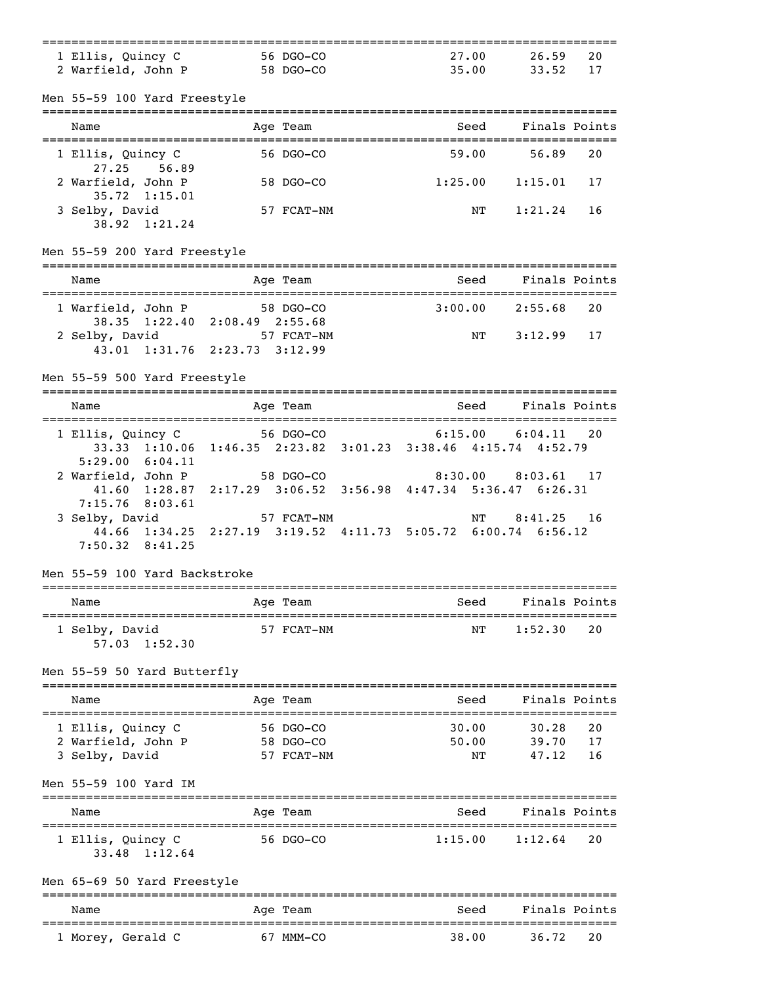| 1 Ellis, Quincy C                                       | 56 DGO-CO                                                     | 27.00                | 26.59                              | 20 |
|---------------------------------------------------------|---------------------------------------------------------------|----------------------|------------------------------------|----|
| 2 Warfield, John P 58 DGO-CO                            |                                                               | 35.00                | 33.52 17                           |    |
| Men 55-59 100 Yard Freestyle                            |                                                               |                      |                                    |    |
|                                                         |                                                               |                      |                                    |    |
| Name                                                    | Age Team                                                      | Seed                 | Finals Points                      |    |
| 1 Ellis, Quincy C                                       | 56 DGO-CO                                                     | 59.00                | 56.89                              | 20 |
| 56.89<br>27.25<br>2 Warfield, John P                    | 58 DGO-CO                                                     | 1:25.00              | 1:15.01                            | 17 |
| $35.72 \quad 1:15.01$                                   |                                                               |                      | 1:21.24                            |    |
| 3 Selby, David<br>38.92 1:21.24                         | 57 FCAT-NM                                                    | NΤ                   |                                    | 16 |
| Men 55-59 200 Yard Freestyle                            |                                                               |                      |                                    |    |
| Name                                                    | Age Team                                                      | Seed                 | Finals Points                      |    |
| 1 Warfield, John P                                      | 58 DGO-CO                                                     | $3:00.00$ 2:55.68    |                                    | 20 |
| 2 Selby, David                                          | 38.35 1:22.40 2:08.49 2:55.68<br>57 FCAT-NM                   | NT                   | $3:12.99$ 17                       |    |
|                                                         | 43.01 1:31.76 2:23.73 3:12.99                                 |                      |                                    |    |
| Men 55-59 500 Yard Freestyle                            |                                                               |                      |                                    |    |
| Name                                                    | ========================<br>Age Team                          | Seed                 | Finals Points                      |    |
|                                                         | 1 Ellis, Quincy C 56 DGO-CO                                   | $6:15.00$ $6:04.11$  |                                    | 20 |
|                                                         | 33.33 1:10.06 1:46.35 2:23.82 3:01.23 3:38.46 4:15.74 4:52.79 |                      |                                    |    |
| 5:29.00 6:04.11<br>2 Warfield, John P                   | 58 DGO-CO                                                     | $8:30.00$ $8:03.61$  |                                    | 17 |
|                                                         | 41.60 1:28.87 2:17.29 3:06.52 3:56.98 4:47.34 5:36.47 6:26.31 |                      |                                    |    |
| 7:15.76<br>8:03.61<br>3 Selby, David                    | 57 FCAT-NM                                                    | NT                   | 8:41.25                            | 16 |
|                                                         | 44.66 1:34.25 2:27.19 3:19.52 4:11.73 5:05.72 6:00.74 6:56.12 |                      |                                    |    |
| $7:50.32$ 8:41.25                                       |                                                               |                      |                                    |    |
| Men 55-59 100 Yard Backstroke                           |                                                               |                      |                                    |    |
| Name                                                    | Age Team                                                      | Seed                 | Finals Points                      |    |
| _____________________________________<br>1 Selby, David | 57 FCAT-NM                                                    | ==============<br>ΝT | 1:52.30                            | 20 |
| 57.03 1:52.30                                           |                                                               |                      |                                    |    |
| Men 55-59 50 Yard Butterfly                             | ---------                                                     |                      |                                    |    |
| Name                                                    | Age Team                                                      | Seed                 | Finals Points                      |    |
| -------------------------<br>1 Ellis, Quincy C          | 56 DGO-CO                                                     | 30.00                | =====================<br>30.28     | 20 |
| 2 Warfield, John P                                      | 58 DGO-CO                                                     | 50.00                | 39.70                              | 17 |
| 3 Selby, David                                          | 57 FCAT-NM                                                    | NΤ                   | 47.12                              | 16 |
| Men 55-59 100 Yard IM                                   |                                                               |                      |                                    |    |
| Name                                                    | Age Team                                                      | Seed                 | Finals Points                      |    |
| 1 Ellis, Quincy C                                       | 56 DGO-CO                                                     | 1:15.00              | 1:12.64                            | 20 |
| 33.48 1:12.64                                           |                                                               |                      |                                    |    |
| Men 65-69 50 Yard Freestyle<br>===================      | ======================                                        |                      |                                    |    |
| Name                                                    | Age Team<br>================                                  | Seed                 | Finals Points<br>================= |    |
| 1 Morey, Gerald C                                       | 67 MMM-CO                                                     | 38.00                | 36.72                              | 20 |